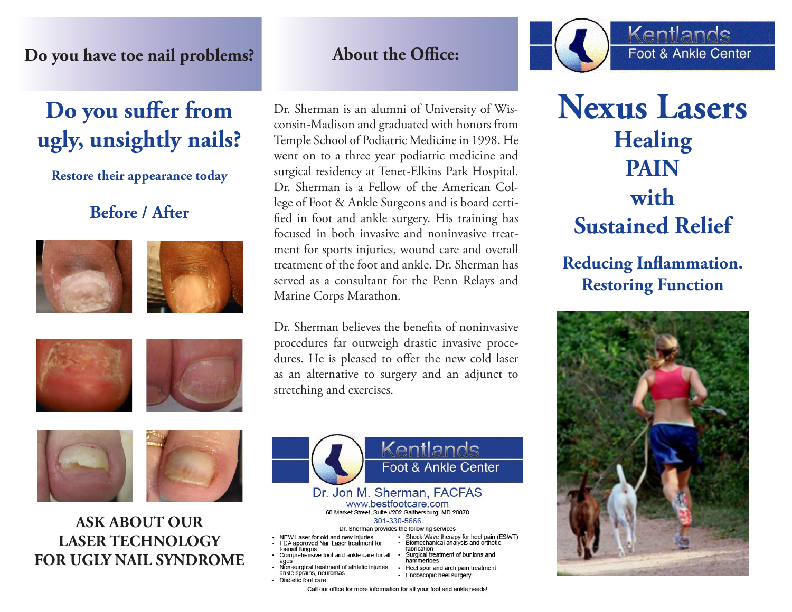### **Do you have toe nail problems?**

# **Do you suffer from ugly, unsightly nails?**

**Restore their appearance today**

# **Before / After**









**ASK ABOUT OUR LASER TECHNOLOGY FOR UGLY NAIL SYNDROME**

# **About the Office:**

Dr. Sherman is an alumni of University of Wisconsin-Madison and graduated with honors from Temple School of Podiatric Medicine in 1998. He went on to a three year podiatric medicine and surgical residency at Tenet-Elkins Park Hospital. Dr. Sherman is a Fellow of the American College of Foot & Ankle Surgeons and is board certified in foot and ankle surgery. His training has focused in both invasive and noninvasive treatment for sports injuries, wound care and overall treatment of the foot and ankle. Dr. Sherman has served as a consultant for the Penn Relays and Marine Corps Marathon.

Dr. Sherman believes the benefits of noninvasive procedures far outweigh drastic invasive procedures. He is pleased to offer the new cold laser as an alternative to surgery and an adjunct to stretching and exercises.





# **Nexus Lasers Healing PAIN with Sustained Relief**

**Reducing Inflammation. Restoring Function**